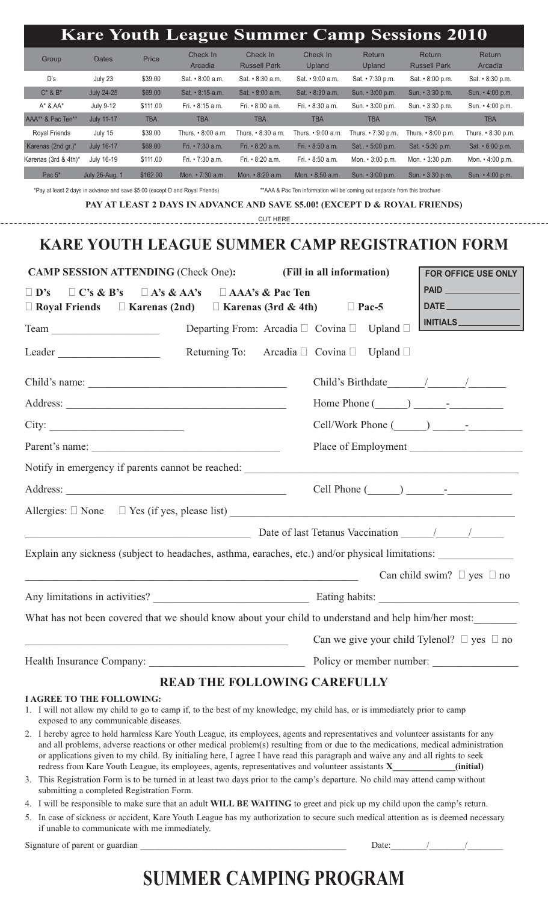|                                                                                                                                  |                                                                                                                                  |                   |                                                                              | <b>Kare Youth League Summer Camp Sessions 2010</b>                                                                                                                                                                                                   |                                                                             |                                                          |                                      |                                                                                                     |
|----------------------------------------------------------------------------------------------------------------------------------|----------------------------------------------------------------------------------------------------------------------------------|-------------------|------------------------------------------------------------------------------|------------------------------------------------------------------------------------------------------------------------------------------------------------------------------------------------------------------------------------------------------|-----------------------------------------------------------------------------|----------------------------------------------------------|--------------------------------------|-----------------------------------------------------------------------------------------------------|
| Group                                                                                                                            | <b>Dates</b>                                                                                                                     | Price             | Check In<br>Arcadia                                                          | Check In<br><b>Russell Park</b>                                                                                                                                                                                                                      | Check In<br>Upland                                                          | Return<br>Upland                                         | Return<br><b>Russell Park</b>        | Return<br>Arcadia                                                                                   |
| D's                                                                                                                              | July 23                                                                                                                          | \$39.00           | Sat. • 8:00 a.m.                                                             | Sat. $\cdot$ 8:30 a.m.                                                                                                                                                                                                                               | Sat. • 9:00 a.m.                                                            | Sat. • 7:30 p.m.                                         | Sat. • 8:00 p.m.                     | Sat. • 8:30 p.m.                                                                                    |
| $C^*$ & $B^*$                                                                                                                    | <b>July 24-25</b>                                                                                                                | \$69.00           | Sat. • 8:15 a.m.                                                             | Sat. • 8:00 a.m.                                                                                                                                                                                                                                     | Sat. • 8:30 a.m.                                                            | Sun. $\cdot$ 3:00 p.m.                                   | Sun. • 3:30 p.m.                     | Sun. • 4:00 p.m.                                                                                    |
| $A^*$ & $AA^*$                                                                                                                   | July 9-12                                                                                                                        | \$111.00          | Fri. • 8:15 a.m.                                                             | Fri. • 8:00 a.m.                                                                                                                                                                                                                                     | Fri. • 8:30 a.m.                                                            | Sun. • 3:00 p.m.                                         | Sun. • 3:30 p.m.                     | Sun. • 4:00 p.m.                                                                                    |
| AAA** & Pac Ten**                                                                                                                | <b>July 11-17</b>                                                                                                                | <b>TBA</b>        | <b>TBA</b>                                                                   | <b>TBA</b>                                                                                                                                                                                                                                           | <b>TBA</b>                                                                  | <b>TBA</b>                                               | <b>TBA</b>                           | <b>TBA</b>                                                                                          |
| Royal Friends                                                                                                                    | July 15                                                                                                                          | \$39.00           | Thurs. • 8:00 a.m.                                                           | Thurs. $\cdot$ 8:30 a.m.                                                                                                                                                                                                                             |                                                                             | Thurs. • 9:00 a.m. Thurs. • 7:30 p.m. Thurs. • 8:00 p.m. |                                      | Thurs. $\cdot$ 8:30 p.m.                                                                            |
| Karenas (2nd gr.)*                                                                                                               | <b>July 16-17</b>                                                                                                                | \$69.00           | Fri. • 7:30 a.m.                                                             | Fri. • 8:20 a.m.                                                                                                                                                                                                                                     | Fri. • 8:50 a.m.                                                            | Sat • 5:00 p.m.                                          | Sat. $\cdot$ 5:30 p.m.               | Sat. • 6:00 p.m.                                                                                    |
| Karenas (3rd & 4th)*                                                                                                             | July 16-19                                                                                                                       | \$111.00          | Fri. • 7:30 a.m.                                                             | Fri. • 8:20 a.m.                                                                                                                                                                                                                                     | Fri. • 8:50 a.m.                                                            | Mon. $\cdot$ 3:00 p.m.                                   | Mon. $\cdot$ 3:30 p.m.               | Mon. $\cdot$ 4:00 p.m.                                                                              |
| Pac $5^*$                                                                                                                        | <b>July 26-Aug. 1</b>                                                                                                            | \$162.00          | Mon. • 7:30 a.m.                                                             | Mon. • 8:20 a.m.                                                                                                                                                                                                                                     | Mon. • 8:50 a.m.                                                            | Sun. • 3:00 p.m.                                         | Sun. • 3:30 p.m.                     | Sun. • 4:00 p.m.                                                                                    |
|                                                                                                                                  |                                                                                                                                  |                   | *Pay at least 2 days in advance and save \$5.00 (except D and Royal Friends) | PAY AT LEAST 2 DAYS IN ADVANCE AND SAVE \$5.00! (EXCEPT D & ROYAL FRIENDS)                                                                                                                                                                           | ** AAA & Pac Ten information will be coming out separate from this brochure |                                                          |                                      |                                                                                                     |
|                                                                                                                                  |                                                                                                                                  |                   |                                                                              | <b>CUT HERE</b>                                                                                                                                                                                                                                      |                                                                             |                                                          |                                      |                                                                                                     |
|                                                                                                                                  |                                                                                                                                  |                   |                                                                              | <b>KARE YOUTH LEAGUE SUMMER CAMP REGISTRATION FORM</b>                                                                                                                                                                                               |                                                                             |                                                          |                                      |                                                                                                     |
| <b>CAMP SESSION ATTENDING (Check One):</b>                                                                                       |                                                                                                                                  |                   |                                                                              |                                                                                                                                                                                                                                                      | (Fill in all information)<br><b>FOR OFFICE USE ONLY</b>                     |                                                          |                                      |                                                                                                     |
| $\Box$ D's                                                                                                                       | $\Box C$ 's & B's                                                                                                                | $\Box$ A's & AA's |                                                                              | $\Box$ AAA's & Pac Ten                                                                                                                                                                                                                               |                                                                             |                                                          |                                      |                                                                                                     |
| $\Box$ Royal Friends                                                                                                             |                                                                                                                                  |                   |                                                                              | $\Box$ Karenas (2nd) $\Box$ Karenas (3rd & 4th)                                                                                                                                                                                                      |                                                                             | $\Box$ Pac-5                                             |                                      |                                                                                                     |
| Team                                                                                                                             |                                                                                                                                  |                   |                                                                              | Departing From: Arcadia $\Box$ Covina $\Box$                                                                                                                                                                                                         |                                                                             | Upland $\Box$                                            |                                      | INITIALS                                                                                            |
|                                                                                                                                  |                                                                                                                                  |                   |                                                                              |                                                                                                                                                                                                                                                      |                                                                             |                                                          |                                      |                                                                                                     |
| Leader                                                                                                                           |                                                                                                                                  |                   | Returning To:                                                                |                                                                                                                                                                                                                                                      | Arcadia $\Box$ Covina $\Box$                                                | Upland $\Box$                                            |                                      |                                                                                                     |
|                                                                                                                                  |                                                                                                                                  |                   | Child's name:                                                                |                                                                                                                                                                                                                                                      |                                                                             |                                                          |                                      |                                                                                                     |
| Address:<br><u> 1989 - Johann Barn, mars eta bainar eta bainar eta baina eta baina eta baina eta baina eta baina eta baina e</u> |                                                                                                                                  |                   |                                                                              |                                                                                                                                                                                                                                                      | Home Phone $(\_\_\_\_\_\_\_$                                                |                                                          |                                      |                                                                                                     |
| City:<br><u> 2002 - Johann Stein, mars et al. (b. 1982)</u>                                                                      |                                                                                                                                  |                   |                                                                              |                                                                                                                                                                                                                                                      |                                                                             |                                                          |                                      |                                                                                                     |
|                                                                                                                                  |                                                                                                                                  |                   | Parent's name:                                                               |                                                                                                                                                                                                                                                      |                                                                             |                                                          |                                      | Place of Employment                                                                                 |
|                                                                                                                                  |                                                                                                                                  |                   |                                                                              | Notify in emergency if parents cannot be reached:                                                                                                                                                                                                    |                                                                             | <u> 1980 - Jan Stein, amerikansk politiker (</u>         |                                      |                                                                                                     |
|                                                                                                                                  |                                                                                                                                  |                   |                                                                              |                                                                                                                                                                                                                                                      |                                                                             |                                                          |                                      | Cell Phone $(\_\_)$ $\_\_$                                                                          |
|                                                                                                                                  |                                                                                                                                  |                   |                                                                              |                                                                                                                                                                                                                                                      |                                                                             |                                                          |                                      |                                                                                                     |
|                                                                                                                                  |                                                                                                                                  |                   |                                                                              | Date of last Tetanus Vaccination 11 1                                                                                                                                                                                                                |                                                                             |                                                          |                                      |                                                                                                     |
|                                                                                                                                  |                                                                                                                                  |                   |                                                                              | Explain any sickness (subject to headaches, asthma, earaches, etc.) and/or physical limitations:                                                                                                                                                     |                                                                             |                                                          |                                      |                                                                                                     |
|                                                                                                                                  |                                                                                                                                  |                   |                                                                              | <u> 1989 - Johann John Stoff, deutscher Stoffen und der Stoffen und der Stoffen und der Stoffen und der Stoffen un</u>                                                                                                                               |                                                                             |                                                          | Can child swim? $\Box$ yes $\Box$ no |                                                                                                     |
|                                                                                                                                  |                                                                                                                                  |                   |                                                                              |                                                                                                                                                                                                                                                      |                                                                             |                                                          |                                      |                                                                                                     |
|                                                                                                                                  |                                                                                                                                  |                   |                                                                              |                                                                                                                                                                                                                                                      |                                                                             |                                                          |                                      | What has not been covered that we should know about your child to understand and help him/her most: |
|                                                                                                                                  |                                                                                                                                  |                   | <u> 1989 - Johann Barbara, martxa alemaniar arg</u>                          |                                                                                                                                                                                                                                                      |                                                                             |                                                          |                                      | Can we give your child Tylenol? $\Box$ yes $\Box$ no                                                |
|                                                                                                                                  |                                                                                                                                  |                   |                                                                              |                                                                                                                                                                                                                                                      |                                                                             |                                                          |                                      |                                                                                                     |
|                                                                                                                                  |                                                                                                                                  |                   |                                                                              | <b>READ THE FOLLOWING CAREFULLY</b>                                                                                                                                                                                                                  |                                                                             |                                                          |                                      |                                                                                                     |
| <b>I AGREE TO THE FOLLOWING:</b>                                                                                                 | exposed to any communicable diseases.                                                                                            |                   |                                                                              | 1. I will not allow my child to go to camp if, to the best of my knowledge, my child has, or is immediately prior to camp                                                                                                                            |                                                                             |                                                          |                                      |                                                                                                     |
|                                                                                                                                  |                                                                                                                                  |                   |                                                                              | 2. I hereby agree to hold harmless Kare Youth League, its employees, agents and representatives and volunteer assistants for any                                                                                                                     |                                                                             |                                                          |                                      |                                                                                                     |
|                                                                                                                                  | and all problems, adverse reactions or other medical problem(s) resulting from or due to the medications, medical administration |                   |                                                                              | or applications given to my child. By initialing here, I agree I have read this paragraph and waive any and all rights to seek                                                                                                                       |                                                                             |                                                          |                                      |                                                                                                     |
|                                                                                                                                  | submitting a completed Registration Form.                                                                                        |                   |                                                                              | redress from Kare Youth League, its employees, agents, representatives and volunteer assistants <b>X</b> (initial)<br>3. This Registration Form is to be turned in at least two days prior to the camp's departure. No child may attend camp without |                                                                             |                                                          |                                      |                                                                                                     |

5. In case of sickness or accident, Kare Youth League has my authorization to secure such medical attention as is deemed necessary if unable to communicate with me immediately.

Signature of parent or guardian \_\_\_\_\_\_\_\_\_\_\_\_\_\_\_\_\_\_\_\_\_\_\_\_\_\_\_\_\_\_\_\_\_\_\_\_\_\_\_\_\_\_\_\_\_\_ Date:\_\_\_\_\_\_\_\_/\_\_\_\_\_\_\_\_/\_\_\_\_\_\_\_\_

# **SUMMER CAMPING PROGRAM**